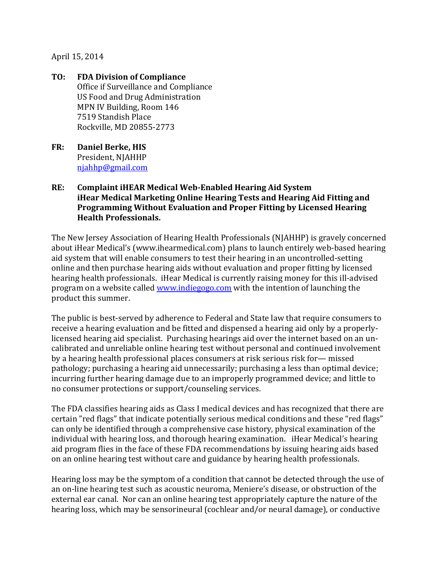## April 15, 2014

- **TO: FDA Division of Compliance**  Office if Surveillance and Compliance US Food and Drug Administration MPN IV Building, Room 146 7519 Standish Place Rockville, MD 20855-2773
- **FR: Daniel Berke, HIS** President, NJAHHP [njahhp@gmail.com](mailto:njahhp@gmail.com)

## **RE: Complaint iHEAR Medical Web-Enabled Hearing Aid System iHear Medical Marketing Online Hearing Tests and Hearing Aid Fitting and Programming Without Evaluation and Proper Fitting by Licensed Hearing Health Professionals.**

The New Jersey Association of Hearing Health Professionals (NJAHHP) is gravely concerned about iHear Medical's (www.ihearmedical.com) plans to launch entirely web-based hearing aid system that will enable consumers to test their hearing in an uncontrolled-setting online and then purchase hearing aids without evaluation and proper fitting by licensed hearing health professionals. iHear Medical is currently raising money for this ill-advised program on a website called [www.indiegogo.com](http://www.indiegogo.com/) with the intention of launching the product this summer.

The public is best-served by adherence to Federal and State law that require consumers to receive a hearing evaluation and be fitted and dispensed a hearing aid only by a properlylicensed hearing aid specialist. Purchasing hearings aid over the internet based on an uncalibrated and unreliable online hearing test without personal and continued involvement by a hearing health professional places consumers at risk serious risk for— missed pathology; purchasing a hearing aid unnecessarily; purchasing a less than optimal device; incurring further hearing damage due to an improperly programmed device; and little to no consumer protections or support/counseling services.

The FDA classifies hearing aids as Class I medical devices and has recognized that there are certain "red flags" that indicate potentially serious medical conditions and these "red flags" can only be identified through a comprehensive case history, physical examination of the individual with hearing loss, and thorough hearing examination. iHear Medical's hearing aid program flies in the face of these FDA recommendations by issuing hearing aids based on an online hearing test without care and guidance by hearing health professionals.

Hearing loss may be the symptom of a condition that cannot be detected through the use of an on-line hearing test such as acoustic neuroma, Meniere's disease, or obstruction of the external ear canal. Nor can an online hearing test appropriately capture the nature of the hearing loss, which may be sensorineural (cochlear and/or neural damage), or conductive